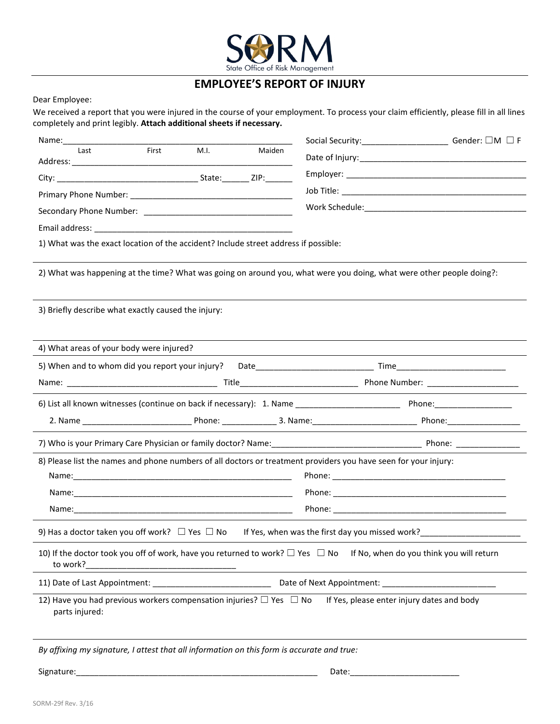

## **EMPLOYEE'S REPORT OF INJURY**

Dear Employee:

We received a report that you were injured in the course of your employment. To process your claim efficiently, please fill in all lines completely and print legibly. **Attach additional sheets if necessary.**

| Last                                                                                       | First | M.I. | Maiden |                                                                                                                          |  |
|--------------------------------------------------------------------------------------------|-------|------|--------|--------------------------------------------------------------------------------------------------------------------------|--|
|                                                                                            |       |      |        |                                                                                                                          |  |
|                                                                                            |       |      |        |                                                                                                                          |  |
|                                                                                            |       |      |        |                                                                                                                          |  |
|                                                                                            |       |      |        |                                                                                                                          |  |
| 1) What was the exact location of the accident? Include street address if possible:        |       |      |        |                                                                                                                          |  |
|                                                                                            |       |      |        | 2) What was happening at the time? What was going on around you, what were you doing, what were other people doing?:     |  |
| 3) Briefly describe what exactly caused the injury:                                        |       |      |        |                                                                                                                          |  |
| 4) What areas of your body were injured?                                                   |       |      |        |                                                                                                                          |  |
|                                                                                            |       |      |        |                                                                                                                          |  |
|                                                                                            |       |      |        |                                                                                                                          |  |
|                                                                                            |       |      |        |                                                                                                                          |  |
|                                                                                            |       |      |        |                                                                                                                          |  |
|                                                                                            |       |      |        |                                                                                                                          |  |
|                                                                                            |       |      |        | 8) Please list the names and phone numbers of all doctors or treatment providers you have seen for your injury:          |  |
|                                                                                            |       |      |        |                                                                                                                          |  |
|                                                                                            |       |      |        |                                                                                                                          |  |
|                                                                                            |       |      |        |                                                                                                                          |  |
|                                                                                            |       |      |        |                                                                                                                          |  |
| 9) Has a doctor taken you off work? $\Box$ Yes $\Box$ No                                   |       |      |        | If Yes, when was the first day you missed work?                                                                          |  |
| to work?                                                                                   |       |      |        | 10) If the doctor took you off of work, have you returned to work? □ Yes □ No If No, when do you think you will return   |  |
|                                                                                            |       |      |        |                                                                                                                          |  |
| parts injured:                                                                             |       |      |        | 12) Have you had previous workers compensation injuries? $\Box$ Yes $\Box$ No If Yes, please enter injury dates and body |  |
| By affixing my signature, I attest that all information on this form is accurate and true: |       |      |        |                                                                                                                          |  |